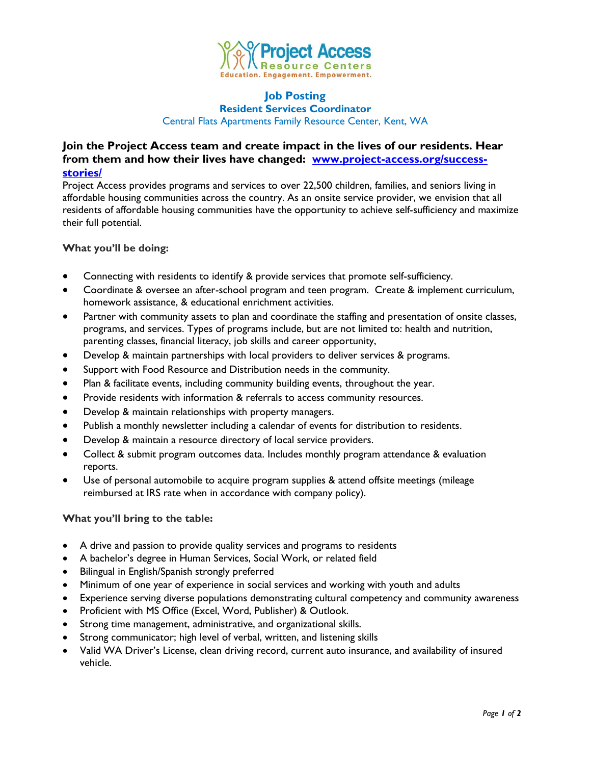

#### **Job Posting Resident Services Coordinator**

Central Flats Apartments Family Resource Center, Kent, WA

# **Join the Project Access team and create impact in the lives of our residents. Hear from them and how their lives have changed: [www.project-access.org/success](http://www.project-access.org/success-stories/)[stories/](http://www.project-access.org/success-stories/)**

Project Access provides programs and services to over 22,500 children, families, and seniors living in affordable housing communities across the country. As an onsite service provider, we envision that all residents of affordable housing communities have the opportunity to achieve self-sufficiency and maximize their full potential.

## **What you'll be doing:**

- Connecting with residents to identify & provide services that promote self-sufficiency.
- Coordinate & oversee an after-school program and teen program. Create & implement curriculum, homework assistance, & educational enrichment activities.
- Partner with community assets to plan and coordinate the staffing and presentation of onsite classes, programs, and services. Types of programs include, but are not limited to: health and nutrition, parenting classes, financial literacy, job skills and career opportunity,
- Develop & maintain partnerships with local providers to deliver services & programs.
- Support with Food Resource and Distribution needs in the community.
- Plan & facilitate events, including community building events, throughout the year.
- Provide residents with information & referrals to access community resources.
- Develop & maintain relationships with property managers.
- Publish a monthly newsletter including a calendar of events for distribution to residents.
- Develop & maintain a resource directory of local service providers.
- Collect & submit program outcomes data. Includes monthly program attendance & evaluation reports.
- Use of personal automobile to acquire program supplies & attend offsite meetings (mileage reimbursed at IRS rate when in accordance with company policy).

## **What you'll bring to the table:**

- A drive and passion to provide quality services and programs to residents
- A bachelor's degree in Human Services, Social Work, or related field
- Bilingual in English/Spanish strongly preferred
- Minimum of one year of experience in social services and working with youth and adults
- Experience serving diverse populations demonstrating cultural competency and community awareness
- Proficient with MS Office (Excel, Word, Publisher) & Outlook.
- Strong time management, administrative, and organizational skills.
- Strong communicator; high level of verbal, written, and listening skills
- Valid WA Driver's License, clean driving record, current auto insurance, and availability of insured vehicle.